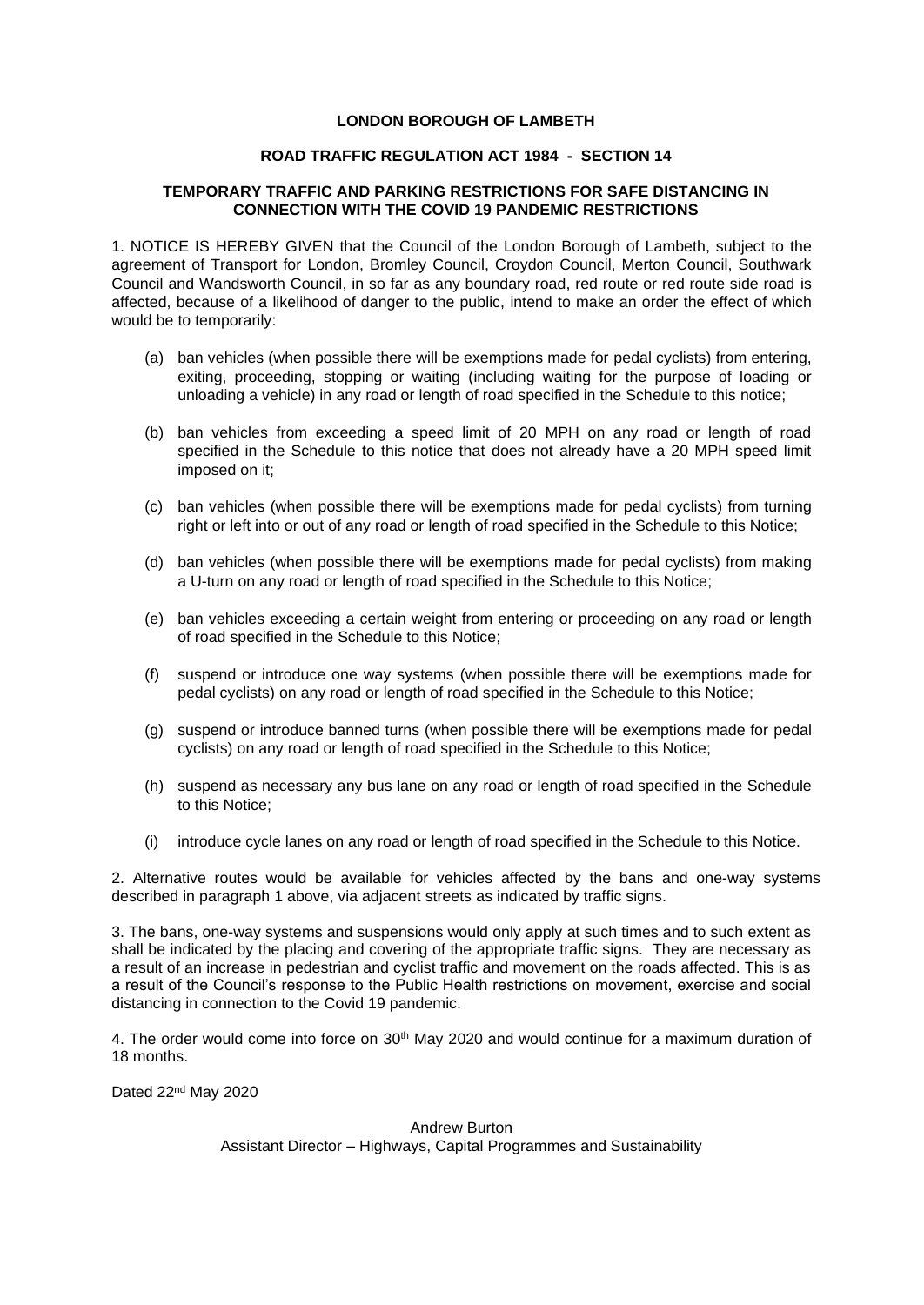## **LONDON BOROUGH OF LAMBETH**

#### **ROAD TRAFFIC REGULATION ACT 1984 - SECTION 14**

## **TEMPORARY TRAFFIC AND PARKING RESTRICTIONS FOR SAFE DISTANCING IN CONNECTION WITH THE COVID 19 PANDEMIC RESTRICTIONS**

1. NOTICE IS HEREBY GIVEN that the Council of the London Borough of Lambeth, subject to the agreement of Transport for London, Bromley Council, Croydon Council, Merton Council, Southwark Council and Wandsworth Council, in so far as any boundary road, red route or red route side road is affected, because of a likelihood of danger to the public, intend to make an order the effect of which would be to temporarily:

- (a) ban vehicles (when possible there will be exemptions made for pedal cyclists) from entering, exiting, proceeding, stopping or waiting (including waiting for the purpose of loading or unloading a vehicle) in any road or length of road specified in the Schedule to this notice;
- (b) ban vehicles from exceeding a speed limit of 20 MPH on any road or length of road specified in the Schedule to this notice that does not already have a 20 MPH speed limit imposed on it;
- (c) ban vehicles (when possible there will be exemptions made for pedal cyclists) from turning right or left into or out of any road or length of road specified in the Schedule to this Notice;
- (d) ban vehicles (when possible there will be exemptions made for pedal cyclists) from making a U-turn on any road or length of road specified in the Schedule to this Notice;
- (e) ban vehicles exceeding a certain weight from entering or proceeding on any road or length of road specified in the Schedule to this Notice;
- (f) suspend or introduce one way systems (when possible there will be exemptions made for pedal cyclists) on any road or length of road specified in the Schedule to this Notice;
- (g) suspend or introduce banned turns (when possible there will be exemptions made for pedal cyclists) on any road or length of road specified in the Schedule to this Notice;
- (h) suspend as necessary any bus lane on any road or length of road specified in the Schedule to this Notice;
- (i) introduce cycle lanes on any road or length of road specified in the Schedule to this Notice.

2. Alternative routes would be available for vehicles affected by the bans and one-way systems described in paragraph 1 above, via adjacent streets as indicated by traffic signs.

3. The bans, one-way systems and suspensions would only apply at such times and to such extent as shall be indicated by the placing and covering of the appropriate traffic signs. They are necessary as a result of an increase in pedestrian and cyclist traffic and movement on the roads affected. This is as a result of the Council's response to the Public Health restrictions on movement, exercise and social distancing in connection to the Covid 19 pandemic.

4. The order would come into force on 30<sup>th</sup> May 2020 and would continue for a maximum duration of 18 months.

Dated 22<sup>nd</sup> May 2020

# Andrew Burton Assistant Director – Highways, Capital Programmes and Sustainability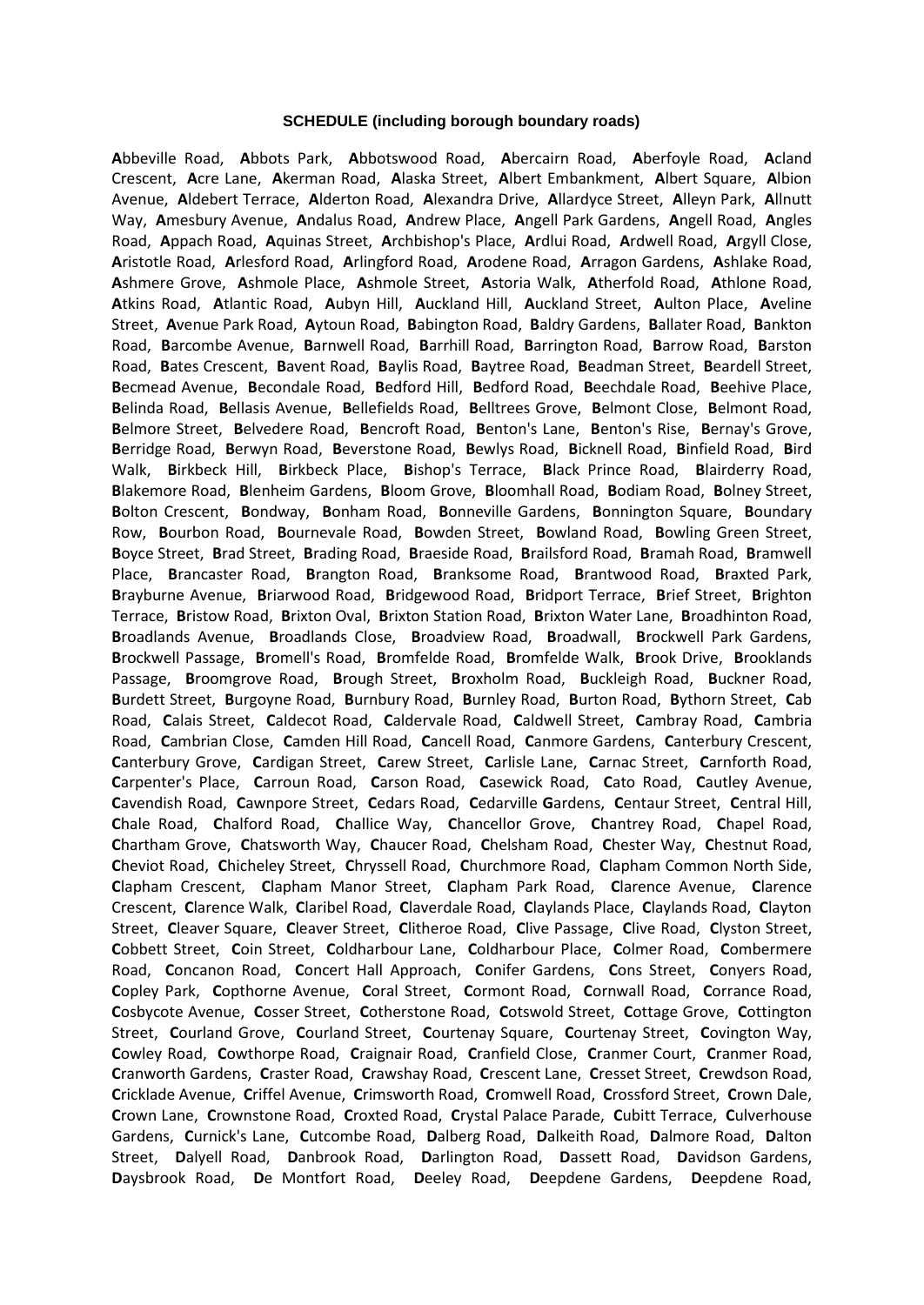#### **SCHEDULE (including borough boundary roads)**

**A**bbeville Road, **A**bbots Park, **A**bbotswood Road, **A**bercairn Road, **A**berfoyle Road, **A**cland Crescent, **A**cre Lane, **A**kerman Road, **A**laska Street, **A**lbert Embankment, **A**lbert Square, **A**lbion Avenue, **A**ldebert Terrace, **A**lderton Road, **A**lexandra Drive, **A**llardyce Street, **A**lleyn Park, **A**llnutt Way, **A**mesbury Avenue, **A**ndalus Road, **A**ndrew Place, **A**ngell Park Gardens, **A**ngell Road, **A**ngles Road, **A**ppach Road, **A**quinas Street, **A**rchbishop's Place, **A**rdlui Road, **A**rdwell Road, **A**rgyll Close, **A**ristotle Road, **A**rlesford Road, **A**rlingford Road, **A**rodene Road, **A**rragon Gardens, **A**shlake Road, **A**shmere Grove, **A**shmole Place, **A**shmole Street, **A**storia Walk, **A**therfold Road, **A**thlone Road, **A**tkins Road, **A**tlantic Road, **A**ubyn Hill, **A**uckland Hill, **A**uckland Street, **A**ulton Place, **A**veline Street, **A**venue Park Road, **A**ytoun Road, **B**abington Road, **B**aldry Gardens, **B**allater Road, **B**ankton Road, **B**arcombe Avenue, **B**arnwell Road, **B**arrhill Road, **B**arrington Road, **B**arrow Road, **B**arston Road, **B**ates Crescent, **B**avent Road, **B**aylis Road, **B**aytree Road, **B**eadman Street, **B**eardell Street, **B**ecmead Avenue, **B**econdale Road, **B**edford Hill, **B**edford Road, **B**eechdale Road, **B**eehive Place, **B**elinda Road, **B**ellasis Avenue, **B**ellefields Road, **B**elltrees Grove, **B**elmont Close, **B**elmont Road, **B**elmore Street, **B**elvedere Road, **B**encroft Road, **B**enton's Lane, **B**enton's Rise, **B**ernay's Grove, **B**erridge Road, **B**erwyn Road, **B**everstone Road, **B**ewlys Road, **B**icknell Road, **B**infield Road, **B**ird Walk, **B**irkbeck Hill, **B**irkbeck Place, **B**ishop's Terrace, **B**lack Prince Road, **B**lairderry Road, **B**lakemore Road, **B**lenheim Gardens, **B**loom Grove, **B**loomhall Road, **B**odiam Road, **B**olney Street, **B**olton Crescent, **B**ondway, **B**onham Road, **B**onneville Gardens, **B**onnington Square, **B**oundary Row, **B**ourbon Road, **B**ournevale Road, **B**owden Street, **B**owland Road, **B**owling Green Street, **B**oyce Street, **B**rad Street, **B**rading Road, **B**raeside Road, **B**railsford Road, **B**ramah Road, **B**ramwell Place, **B**rancaster Road, **B**rangton Road, **B**ranksome Road, **B**rantwood Road, **B**raxted Park, **B**rayburne Avenue, **B**riarwood Road, **B**ridgewood Road, **B**ridport Terrace, **B**rief Street, **B**righton Terrace, **B**ristow Road, **B**rixton Oval, **B**rixton Station Road, **B**rixton Water Lane, **B**roadhinton Road, **B**roadlands Avenue, **B**roadlands Close, **B**roadview Road, **B**roadwall, **B**rockwell Park Gardens, **B**rockwell Passage, **B**romell's Road, **B**romfelde Road, **B**romfelde Walk, **B**rook Drive, **B**rooklands Passage, **B**roomgrove Road, **B**rough Street, **B**roxholm Road, **B**uckleigh Road, **B**uckner Road, **B**urdett Street, **B**urgoyne Road, **B**urnbury Road, **B**urnley Road, **B**urton Road, **B**ythorn Street, **C**ab Road, **C**alais Street, **C**aldecot Road, **C**aldervale Road, **C**aldwell Street, **C**ambray Road, **C**ambria Road, **C**ambrian Close, **C**amden Hill Road, **C**ancell Road, **C**anmore Gardens, **C**anterbury Crescent, **C**anterbury Grove, **C**ardigan Street, **C**arew Street, **C**arlisle Lane, **C**arnac Street, **C**arnforth Road, **C**arpenter's Place, **C**arroun Road, **C**arson Road, **C**asewick Road, **C**ato Road, **C**autley Avenue, **C**avendish Road, **C**awnpore Street, **C**edars Road, **C**edarville **G**ardens, **C**entaur Street, **C**entral Hill, **C**hale Road, **C**halford Road, **C**hallice Way, **C**hancellor Grove, **C**hantrey Road, **C**hapel Road, **C**hartham Grove, **C**hatsworth Way, **C**haucer Road, **C**helsham Road, **C**hester Way, **C**hestnut Road, **C**heviot Road, **C**hicheley Street, **C**hryssell Road, **C**hurchmore Road, **C**lapham Common North Side, **C**lapham Crescent, **C**lapham Manor Street, **C**lapham Park Road, **C**larence Avenue, **C**larence Crescent, **C**larence Walk, **C**laribel Road, **C**laverdale Road, **C**laylands Place, **C**laylands Road, **C**layton Street, **C**leaver Square, **C**leaver Street, **C**litheroe Road, **C**live Passage, **C**live Road, **C**lyston Street, **C**obbett Street, **C**oin Street, **C**oldharbour Lane, **C**oldharbour Place, **C**olmer Road, **C**ombermere Road, **C**oncanon Road, **C**oncert Hall Approach, **C**onifer Gardens, **C**ons Street, **C**onyers Road, **C**opley Park, **C**opthorne Avenue, **C**oral Street, **C**ormont Road, **C**ornwall Road, **C**orrance Road, **C**osbycote Avenue, **C**osser Street, **C**otherstone Road, **C**otswold Street, **C**ottage Grove, **C**ottington Street, **C**ourland Grove, **C**ourland Street, **C**ourtenay Square, **C**ourtenay Street, **C**ovington Way, **C**owley Road, **C**owthorpe Road, **C**raignair Road, **C**ranfield Close, **C**ranmer Court, **C**ranmer Road, **C**ranworth Gardens, **C**raster Road, **C**rawshay Road, **C**rescent Lane, **C**resset Street, **C**rewdson Road, **C**ricklade Avenue, **C**riffel Avenue, **C**rimsworth Road, **C**romwell Road, **C**rossford Street, **C**rown Dale, **C**rown Lane, **C**rownstone Road, **C**roxted Road, **C**rystal Palace Parade, **C**ubitt Terrace, **C**ulverhouse Gardens, **C**urnick's Lane, **C**utcombe Road, **D**alberg Road, **D**alkeith Road, **D**almore Road, **D**alton Street, **D**alyell Road, **D**anbrook Road, **D**arlington Road, **D**assett Road, **D**avidson Gardens, **D**aysbrook Road, **D**e Montfort Road, **D**eeley Road, **D**eepdene Gardens, **D**eepdene Road,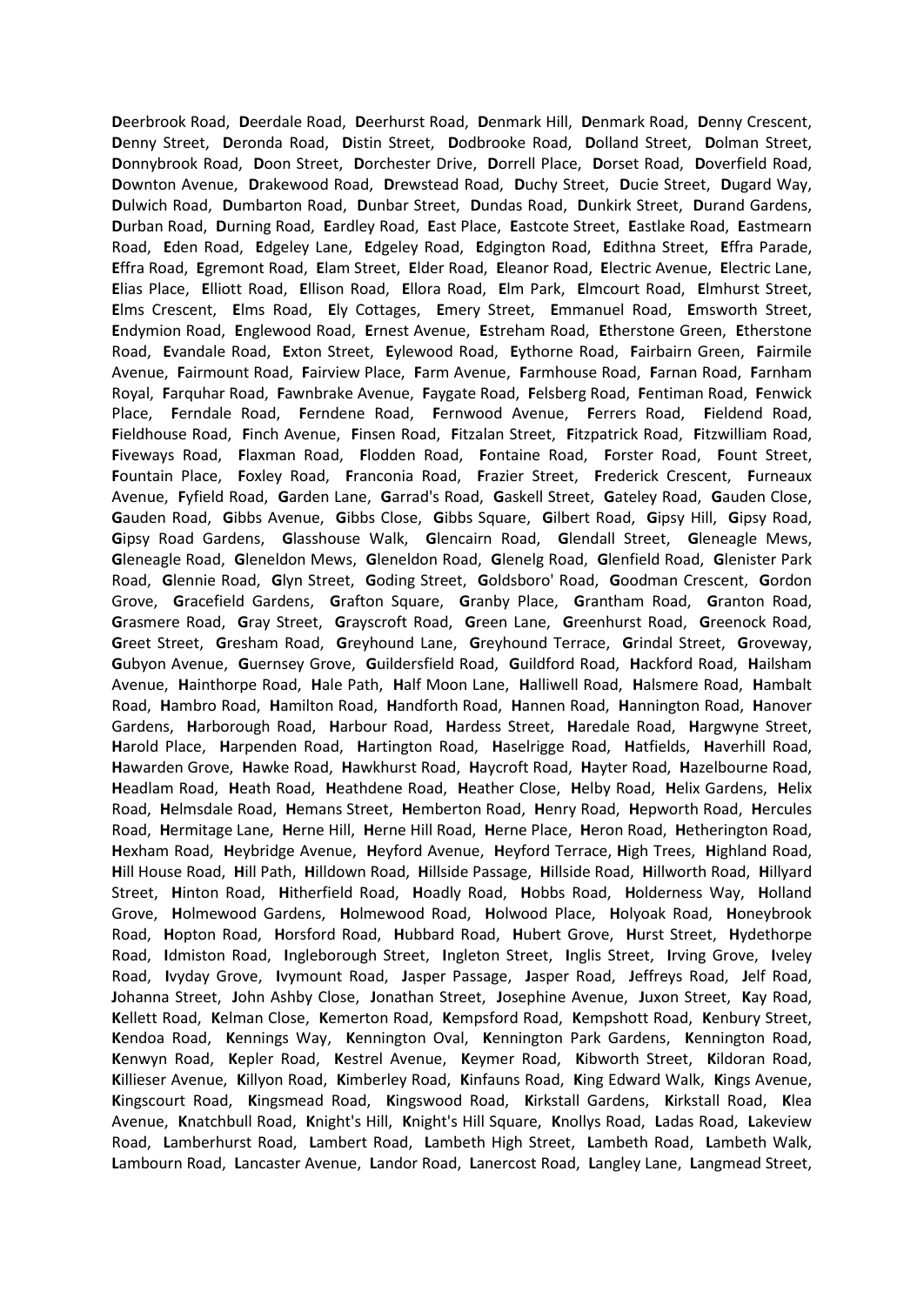Deerbrook Road, Deerdale Road, Deerhurst Road, Denmark Hill, Denmark Road, Denny Crescent, Denny Street, Deronda Road, Distin Street, Dodbrooke Road, Dolland Street, Dolman Street, Donnybrook Road, Doon Street, Dorchester Drive, Dorrell Place, Dorset Road, Doverfield Road, Downton Avenue, Drakewood Road, Drewstead Road, Duchy Street, Ducie Street, Dugard Way, Dulwich Road, Dumbarton Road, Dunbar Street, Dundas Road, Dunkirk Street, Durand Gardens, Durban Road, Durning Road, Eardley Road, East Place, Eastcote Street, Eastlake Road, Eastmearn Road. Eden Road. Edgeley Lane. Edgeley Road. Edgington Road. Edithna Street. Effra Parade. Effra Road, Egremont Road, Elam Street, Elder Road, Eleanor Road, Electric Avenue, Electric Lane, Elias Place, Elliott Road, Ellison Road, Ellora Road, Elm Park, Elmcourt Road, Elmhurst Street, Elms Crescent, Elms Road, Ely Cottages, Emery Street, Emmanuel Road, Emsworth Street, Endymion Road, Englewood Road, Ernest Avenue, Estreham Road, Etherstone Green, Etherstone Road, Evandale Road, Exton Street, Eylewood Road, Eythorne Road, Fairbairn Green, Fairmile Avenue, Fairmount Road, Fairview Place, Farm Avenue, Farmhouse Road, Farnan Road, Farnham Royal, Farguhar Road, Fawnbrake Avenue, Faygate Road, Felsberg Road, Fentiman Road, Fenwick Place, Ferndale Road, Ferndene Road, Fernwood Avenue, Ferrers Road, Fieldend Road, Fieldhouse Road, Finch Avenue, Finsen Road, Fitzalan Street, Fitzpatrick Road, Fitzwilliam Road, Fiveways Road, Flaxman Road, Flodden Road, Fontaine Road, Forster Road, Fount Street, Fountain Place, Foxley Road, Franconia Road, Frazier Street, Frederick Crescent, Furneaux Avenue, Fyfield Road, Garden Lane, Garrad's Road, Gaskell Street, Gateley Road, Gauden Close, Gauden Road, Gibbs Avenue, Gibbs Close, Gibbs Square, Gilbert Road, Gipsy Hill, Gipsy Road, Gipsy Road Gardens, Glasshouse Walk, Glencairn Road, Glendall Street, Gleneagle Mews, Gleneagle Road, Gleneldon Mews, Gleneldon Road, Glenelg Road, Glenfield Road, Glenister Park Road, Glennie Road, Glyn Street, Goding Street, Goldsboro' Road, Goodman Crescent, Gordon Grove, Gracefield Gardens, Grafton Square, Granby Place, Grantham Road, Granton Road, Grasmere Road, Gray Street, Grayscroft Road, Green Lane, Greenhurst Road, Greenock Road, Greet Street, Gresham Road, Greyhound Lane, Greyhound Terrace, Grindal Street, Groveway, Gubyon Avenue, Guernsey Grove, Guildersfield Road, Guildford Road, Hackford Road, Hailsham Avenue, Hainthorpe Road, Hale Path, Half Moon Lane, Halliwell Road, Halsmere Road, Hambalt Road, Hambro Road, Hamilton Road, Handforth Road, Hannen Road, Hannington Road, Hanover Gardens, Harborough Road, Harbour Road, Hardess Street, Haredale Road, Hargwyne Street, Harold Place, Harpenden Road, Hartington Road, Haselrigge Road, Hatfields, Haverhill Road, Hawarden Grove, Hawke Road, Hawkhurst Road, Haycroft Road, Hayter Road, Hazelbourne Road, Headlam Road, Heath Road, Heathdene Road, Heather Close, Helby Road, Helix Gardens, Helix Road, Helmsdale Road, Hemans Street, Hemberton Road, Henry Road, Hepworth Road, Hercules Road, Hermitage Lane, Herne Hill, Herne Hill Road, Herne Place, Heron Road, Hetherington Road, Hexham Road, Heybridge Avenue, Heyford Avenue, Heyford Terrace, High Trees, Highland Road, Hill House Road, Hill Path, Hilldown Road, Hillside Passage, Hillside Road, Hillworth Road, Hillyard Street, Hinton Road, Hitherfield Road, Hoadly Road, Hobbs Road, Holderness Way, Holland Grove, Holmewood Gardens, Holmewood Road, Holwood Place, Holyoak Road, Honeybrook Road, Hopton Road, Horsford Road, Hubbard Road, Hubert Grove, Hurst Street, Hydethorpe Road, Idmiston Road, Ingleborough Street, Ingleton Street, Inglis Street, Irving Grove, Iveley Road, Ivyday Grove, Ivymount Road, Jasper Passage, Jasper Road, Jeffreys Road, Jelf Road, Johanna Street, John Ashby Close, Jonathan Street, Josephine Avenue, Juxon Street, Kay Road, Kellett Road, Kelman Close, Kemerton Road, Kempsford Road, Kempshott Road, Kenbury Street, Kendoa Road, Kennings Way, Kennington Oval, Kennington Park Gardens, Kennington Road, Kenwyn Road, Kepler Road, Kestrel Avenue, Keymer Road, Kibworth Street, Kildoran Road, Killieser Avenue, Killyon Road, Kimberley Road, Kinfauns Road, King Edward Walk, Kings Avenue, Kingscourt Road, Kingsmead Road, Kingswood Road, Kirkstall Gardens, Kirkstall Road, Klea Avenue, Knatchbull Road, Knight's Hill, Knight's Hill Square, Knollys Road, Ladas Road, Lakeview Road, Lamberhurst Road, Lambert Road, Lambeth High Street, Lambeth Road, Lambeth Walk, Lambourn Road, Lancaster Avenue, Landor Road, Lanercost Road, Langley Lane, Langmead Street,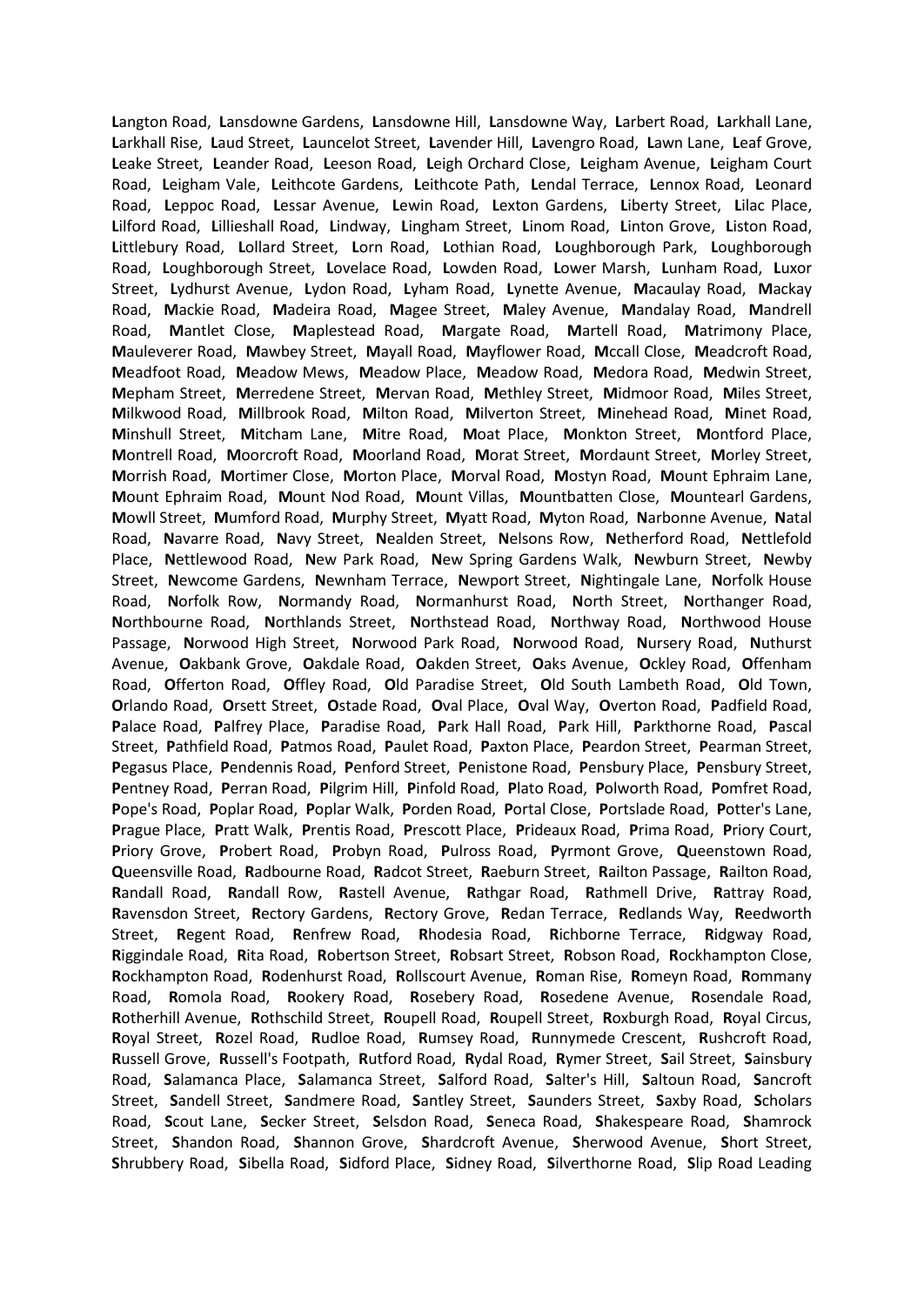**L**angton Road, **L**ansdowne Gardens, **L**ansdowne Hill, **L**ansdowne Way, **L**arbert Road, **L**arkhall Lane, **L**arkhall Rise, **L**aud Street, **L**auncelot Street, **L**avender Hill, **L**avengro Road, **L**awn Lane, **L**eaf Grove, **L**eake Street, **L**eander Road, **L**eeson Road, **L**eigh Orchard Close, **L**eigham Avenue, **L**eigham Court Road, **L**eigham Vale, **L**eithcote Gardens, **L**eithcote Path, **L**endal Terrace, **L**ennox Road, **L**eonard Road, **L**eppoc Road, **L**essar Avenue, **L**ewin Road, **L**exton Gardens, **L**iberty Street, **L**ilac Place, **L**ilford Road, **L**illieshall Road, **L**indway, **L**ingham Street, **L**inom Road, **L**inton Grove, **L**iston Road, **L**ittlebury Road, **L**ollard Street, **L**orn Road, **L**othian Road, **L**oughborough Park, **L**oughborough Road, **L**oughborough Street, **L**ovelace Road, **L**owden Road, **L**ower Marsh, **L**unham Road, **L**uxor Street, **L**ydhurst Avenue, **L**ydon Road, **L**yham Road, **L**ynette Avenue, **M**acaulay Road, **M**ackay Road, **M**ackie Road, **M**adeira Road, **M**agee Street, **M**aley Avenue, **M**andalay Road, **M**andrell Road, **M**antlet Close, **M**aplestead Road, **M**argate Road, **M**artell Road, **M**atrimony Place, **M**auleverer Road, **M**awbey Street, **M**ayall Road, **M**ayflower Road, **M**ccall Close, **M**eadcroft Road, **M**eadfoot Road, **M**eadow Mews, **M**eadow Place, **M**eadow Road, **M**edora Road, **M**edwin Street, **M**epham Street, **M**erredene Street, **M**ervan Road, **M**ethley Street, **M**idmoor Road, **M**iles Street, **M**ilkwood Road, **M**illbrook Road, **M**ilton Road, **M**ilverton Street, **M**inehead Road, **M**inet Road, **M**inshull Street, **M**itcham Lane, **M**itre Road, **M**oat Place, **M**onkton Street, **M**ontford Place, **M**ontrell Road, **M**oorcroft Road, **M**oorland Road, **M**orat Street, **M**ordaunt Street, **M**orley Street, **M**orrish Road, **M**ortimer Close, **M**orton Place, **M**orval Road, **M**ostyn Road, **M**ount Ephraim Lane, **M**ount Ephraim Road, **M**ount Nod Road, **M**ount Villas, **M**ountbatten Close, **M**ountearl Gardens, **M**owll Street, **M**umford Road, **M**urphy Street, **M**yatt Road, **M**yton Road, **N**arbonne Avenue, **N**atal Road, **N**avarre Road, **N**avy Street, **N**ealden Street, **N**elsons Row, **N**etherford Road, **N**ettlefold Place, **N**ettlewood Road, **N**ew Park Road, **N**ew Spring Gardens Walk, **N**ewburn Street, **N**ewby Street, **N**ewcome Gardens, **N**ewnham Terrace, **N**ewport Street, **N**ightingale Lane, **N**orfolk House Road, **N**orfolk Row, **N**ormandy Road, **N**ormanhurst Road, **N**orth Street, **N**orthanger Road, **N**orthbourne Road, **N**orthlands Street, **N**orthstead Road, **N**orthway Road, **N**orthwood House Passage, **N**orwood High Street, **N**orwood Park Road, **N**orwood Road, **N**ursery Road, **N**uthurst Avenue, **O**akbank Grove, **O**akdale Road, **O**akden Street, **O**aks Avenue, **O**ckley Road, **O**ffenham Road, **O**fferton Road, **O**ffley Road, **O**ld Paradise Street, **O**ld South Lambeth Road, **O**ld Town, **O**rlando Road, **O**rsett Street, **O**stade Road, **O**val Place, **O**val Way, **O**verton Road, **P**adfield Road, **P**alace Road, **P**alfrey Place, **P**aradise Road, **P**ark Hall Road, **P**ark Hill, **P**arkthorne Road, **P**ascal Street, **P**athfield Road, **P**atmos Road, **P**aulet Road, **P**axton Place, **P**eardon Street, **P**earman Street, **P**egasus Place, **P**endennis Road, **P**enford Street, **P**enistone Road, **P**ensbury Place, **P**ensbury Street, **P**entney Road, **P**erran Road, **P**ilgrim Hill, **P**infold Road, **P**lato Road, **P**olworth Road, **P**omfret Road, **P**ope's Road, **P**oplar Road, **P**oplar Walk, **P**orden Road, **P**ortal Close, **P**ortslade Road, **P**otter's Lane, **P**rague Place, **P**ratt Walk, **P**rentis Road, **P**rescott Place, **P**rideaux Road, **P**rima Road, **P**riory Court, **P**riory Grove, **P**robert Road, **P**robyn Road, **P**ulross Road, **P**yrmont Grove, **Q**ueenstown Road, **Q**ueensville Road, **R**adbourne Road, **R**adcot Street, **R**aeburn Street, **R**ailton Passage, **R**ailton Road, **R**andall Road, **R**andall Row, **R**astell Avenue, **R**athgar Road, **R**athmell Drive, **R**attray Road, **R**avensdon Street, **R**ectory Gardens, **R**ectory Grove, **R**edan Terrace, **R**edlands Way, **R**eedworth Street, **R**egent Road, **R**enfrew Road, **R**hodesia Road, **R**ichborne Terrace, **R**idgway Road, **R**iggindale Road, **R**ita Road, **R**obertson Street, **R**obsart Street, **R**obson Road, **R**ockhampton Close, **R**ockhampton Road, **R**odenhurst Road, **R**ollscourt Avenue, **R**oman Rise, **R**omeyn Road, **R**ommany Road, **R**omola Road, **R**ookery Road, **R**osebery Road, **R**osedene Avenue, **R**osendale Road, **R**otherhill Avenue, **R**othschild Street, **R**oupell Road, **R**oupell Street, **R**oxburgh Road, **R**oyal Circus, **R**oyal Street, **R**ozel Road, **R**udloe Road, **R**umsey Road, **R**unnymede Crescent, **R**ushcroft Road, **R**ussell Grove, **R**ussell's Footpath, **R**utford Road, **R**ydal Road, **R**ymer Street, **S**ail Street, **S**ainsbury Road, **S**alamanca Place, **S**alamanca Street, **S**alford Road, **S**alter's Hill, **S**altoun Road, **S**ancroft Street, **S**andell Street, **S**andmere Road, **S**antley Street, **S**aunders Street, **S**axby Road, **S**cholars Road, **S**cout Lane, **S**ecker Street, **S**elsdon Road, **S**eneca Road, **S**hakespeare Road, **S**hamrock Street, **S**handon Road, **S**hannon Grove, **S**hardcroft Avenue, **S**herwood Avenue, **S**hort Street, **S**hrubbery Road, **S**ibella Road, **S**idford Place, **S**idney Road, **S**ilverthorne Road, **S**lip Road Leading